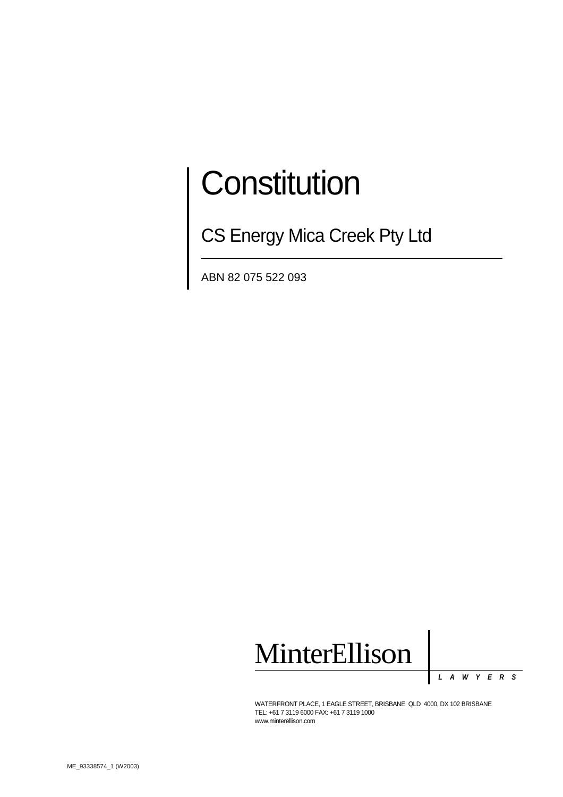# **Constitution**

**CS Energy Mica Creek Pty Ltd** 

ABN 82 075 522 093



*LAWYERS*

WATERFRONT PLACE, 1 EAGLE STREET, BRISBANE QLD 4000, DX 102 BRISBANE TEL: +61 7 3119 6000 FAX: +61 7 3119 1000 www.minterellison.com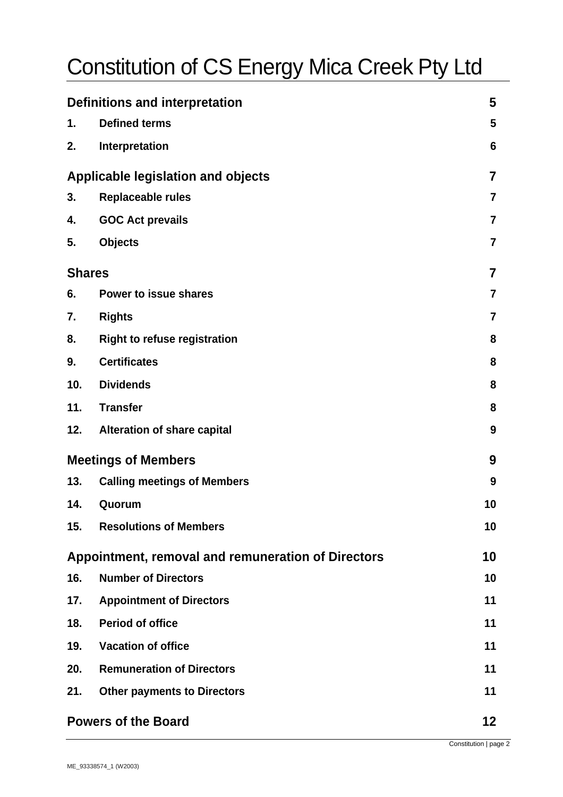# Constitution of CS Energy Mica Creek Pty Ltd

| <b>Definitions and interpretation</b> |                                                    | 5                       |
|---------------------------------------|----------------------------------------------------|-------------------------|
| 1.                                    | <b>Defined terms</b>                               | 5                       |
| 2.                                    | Interpretation                                     | 6                       |
|                                       | <b>Applicable legislation and objects</b>          | 7                       |
| 3.                                    | Replaceable rules                                  | $\overline{\mathbf{7}}$ |
| 4.                                    | <b>GOC Act prevails</b>                            | $\overline{\mathbf{7}}$ |
| 5.                                    | <b>Objects</b>                                     | $\overline{\mathbf{7}}$ |
|                                       | <b>Shares</b>                                      |                         |
| 6.                                    | Power to issue shares                              | $\overline{\mathbf{7}}$ |
| 7.                                    | <b>Rights</b>                                      | $\overline{\mathbf{7}}$ |
| 8.                                    | <b>Right to refuse registration</b>                | 8                       |
| 9.                                    | <b>Certificates</b>                                | 8                       |
| 10.                                   | <b>Dividends</b>                                   | 8                       |
| 11.                                   | <b>Transfer</b>                                    | 8                       |
| 12.                                   | <b>Alteration of share capital</b>                 | $\boldsymbol{9}$        |
|                                       | <b>Meetings of Members</b>                         | 9                       |
| 13.                                   | <b>Calling meetings of Members</b>                 | 9                       |
| 14.                                   | Quorum                                             | 10                      |
| 15.                                   | <b>Resolutions of Members</b>                      | 10                      |
|                                       | Appointment, removal and remuneration of Directors | 10                      |
| 16.                                   | <b>Number of Directors</b>                         | 10                      |
| 17.                                   | <b>Appointment of Directors</b>                    | 11                      |
| 18.                                   | <b>Period of office</b>                            | 11                      |
| 19.                                   | <b>Vacation of office</b>                          | 11                      |
| 20.                                   | <b>Remuneration of Directors</b>                   | 11                      |
| 21.                                   | <b>Other payments to Directors</b>                 | 11                      |
|                                       | <b>Powers of the Board</b>                         | 12 <sub>2</sub>         |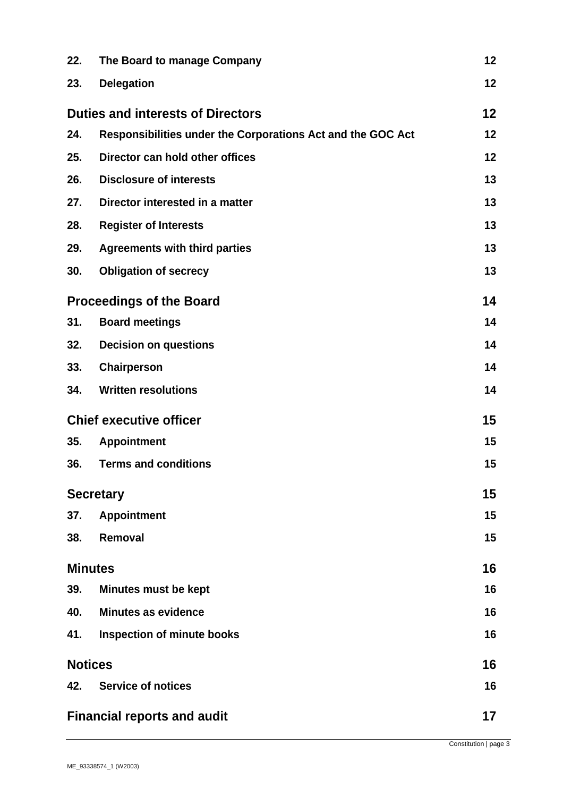| 22. | The Board to manage Company                                 | 12 |
|-----|-------------------------------------------------------------|----|
| 23. | <b>Delegation</b>                                           | 12 |
|     | <b>Duties and interests of Directors</b>                    | 12 |
| 24. | Responsibilities under the Corporations Act and the GOC Act | 12 |
| 25. | Director can hold other offices                             | 12 |
| 26. | <b>Disclosure of interests</b>                              | 13 |
| 27. | Director interested in a matter                             | 13 |
| 28. | <b>Register of Interests</b>                                | 13 |
| 29. | <b>Agreements with third parties</b>                        | 13 |
| 30. | <b>Obligation of secrecy</b>                                | 13 |
|     | <b>Proceedings of the Board</b>                             |    |
| 31. | <b>Board meetings</b>                                       | 14 |
| 32. | <b>Decision on questions</b>                                | 14 |
| 33. | Chairperson                                                 | 14 |
| 34. | <b>Written resolutions</b>                                  | 14 |
|     | <b>Chief executive officer</b>                              | 15 |
| 35. | <b>Appointment</b>                                          | 15 |
| 36. | <b>Terms and conditions</b>                                 | 15 |
|     | <b>Secretary</b>                                            |    |
| 37. | <b>Appointment</b>                                          | 15 |
| 38. | Removal                                                     | 15 |
|     | <b>Minutes</b>                                              | 16 |
| 39. | <b>Minutes must be kept</b>                                 | 16 |
| 40. | <b>Minutes as evidence</b>                                  | 16 |
| 41. | <b>Inspection of minute books</b>                           | 16 |
|     | <b>Notices</b>                                              |    |
| 42. | <b>Service of notices</b>                                   | 16 |
|     | <b>Financial reports and audit</b>                          | 17 |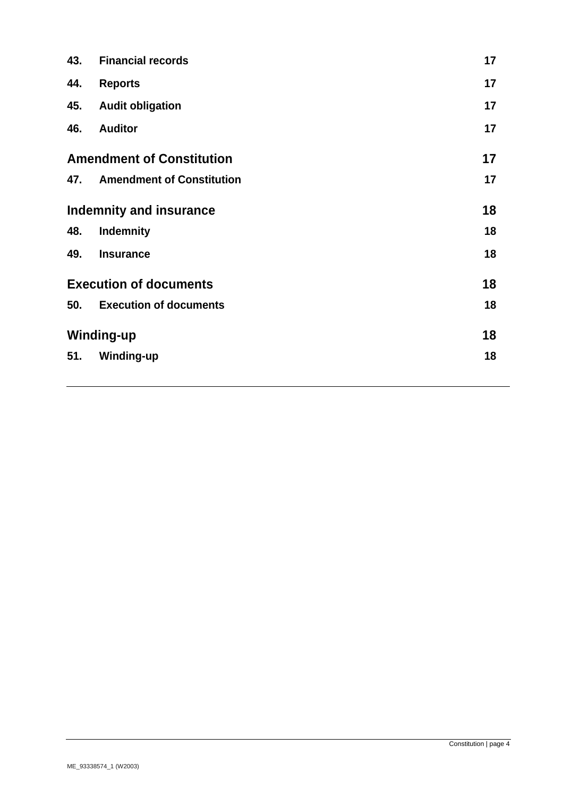| 43.                              | <b>Financial records</b>         | 17 |
|----------------------------------|----------------------------------|----|
| 44.                              | <b>Reports</b>                   | 17 |
| 45.                              | <b>Audit obligation</b>          | 17 |
| 46.                              | <b>Auditor</b>                   | 17 |
| <b>Amendment of Constitution</b> |                                  | 17 |
| 47.                              | <b>Amendment of Constitution</b> | 17 |
| <b>Indemnity and insurance</b>   |                                  | 18 |
| 48.                              | <b>Indemnity</b>                 | 18 |
| 49.                              | <b>Insurance</b>                 | 18 |
| <b>Execution of documents</b>    |                                  | 18 |
| 50.                              | <b>Execution of documents</b>    | 18 |
| Winding-up                       |                                  | 18 |
| 51.                              | <b>Winding-up</b>                | 18 |
|                                  |                                  |    |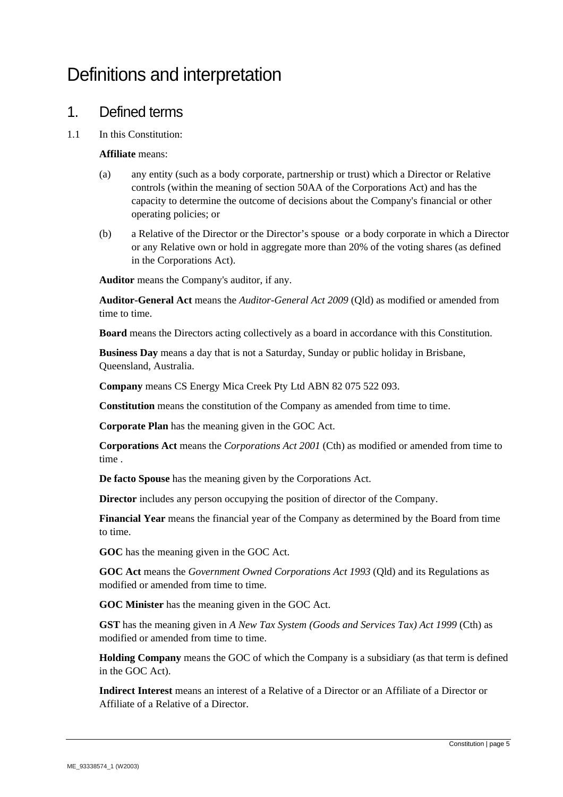# Definitions and interpretation

#### 1. Defined terms

1.1 In this Constitution:

#### **Affiliate** means:

- (a) any entity (such as a body corporate, partnership or trust) which a Director or Relative controls (within the meaning of section 50AA of the Corporations Act) and has the capacity to determine the outcome of decisions about the Company's financial or other operating policies; or
- (b) a Relative of the Director or the Director's spouse or a body corporate in which a Director or any Relative own or hold in aggregate more than 20% of the voting shares (as defined in the Corporations Act).

**Auditor** means the Company's auditor, if any.

**Auditor-General Act** means the *Auditor-General Act 2009* (Qld) as modified or amended from time to time.

**Board** means the Directors acting collectively as a board in accordance with this Constitution.

**Business Day** means a day that is not a Saturday, Sunday or public holiday in Brisbane, Queensland, Australia.

**Company** means CS Energy Mica Creek Pty Ltd ABN 82 075 522 093.

**Constitution** means the constitution of the Company as amended from time to time.

**Corporate Plan** has the meaning given in the GOC Act.

**Corporations Act** means the *Corporations Act 2001* (Cth) as modified or amended from time to time .

**De facto Spouse** has the meaning given by the Corporations Act.

**Director** includes any person occupying the position of director of the Company.

**Financial Year** means the financial year of the Company as determined by the Board from time to time.

**GOC** has the meaning given in the GOC Act.

**GOC Act** means the *Government Owned Corporations Act 1993* (Qld) and its Regulations as modified or amended from time to time.

**GOC Minister** has the meaning given in the GOC Act.

**GST** has the meaning given in *A New Tax System (Goods and Services Tax) Act 1999* (Cth) as modified or amended from time to time.

**Holding Company** means the GOC of which the Company is a subsidiary (as that term is defined in the GOC Act).

**Indirect Interest** means an interest of a Relative of a Director or an Affiliate of a Director or Affiliate of a Relative of a Director.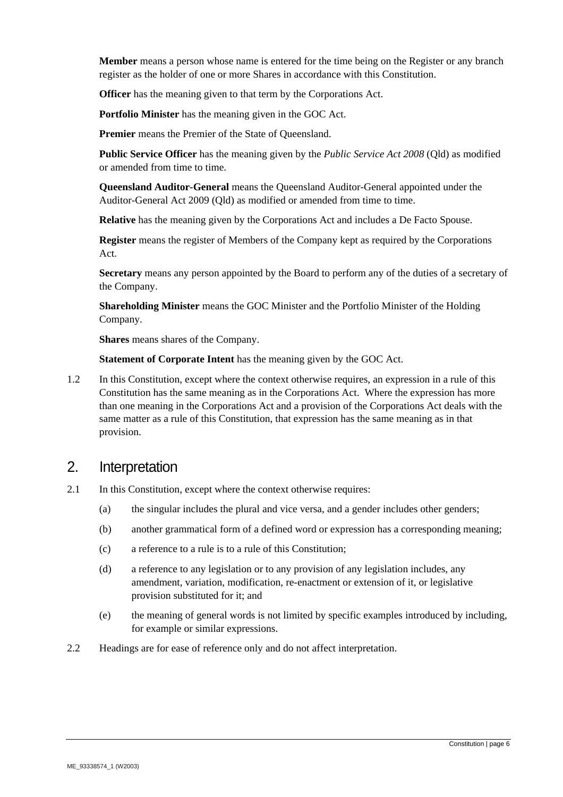**Member** means a person whose name is entered for the time being on the Register or any branch register as the holder of one or more Shares in accordance with this Constitution.

**Officer** has the meaning given to that term by the Corporations Act.

**Portfolio Minister** has the meaning given in the GOC Act.

Premier means the Premier of the State of Queensland.

**Public Service Officer** has the meaning given by the *Public Service Act 2008* (Qld) as modified or amended from time to time.

**Queensland Auditor-General** means the Queensland Auditor-General appointed under the Auditor-General Act 2009 (Qld) as modified or amended from time to time.

**Relative** has the meaning given by the Corporations Act and includes a De Facto Spouse.

**Register** means the register of Members of the Company kept as required by the Corporations Act.

**Secretary** means any person appointed by the Board to perform any of the duties of a secretary of the Company.

**Shareholding Minister** means the GOC Minister and the Portfolio Minister of the Holding Company.

**Shares** means shares of the Company.

**Statement of Corporate Intent** has the meaning given by the GOC Act.

1.2 In this Constitution, except where the context otherwise requires, an expression in a rule of this Constitution has the same meaning as in the Corporations Act. Where the expression has more than one meaning in the Corporations Act and a provision of the Corporations Act deals with the same matter as a rule of this Constitution, that expression has the same meaning as in that provision.

#### 2. Interpretation

- 2.1 In this Constitution, except where the context otherwise requires:
	- (a) the singular includes the plural and vice versa, and a gender includes other genders;
	- (b) another grammatical form of a defined word or expression has a corresponding meaning;
	- (c) a reference to a rule is to a rule of this Constitution;
	- (d) a reference to any legislation or to any provision of any legislation includes, any amendment, variation, modification, re-enactment or extension of it, or legislative provision substituted for it; and
	- (e) the meaning of general words is not limited by specific examples introduced by including, for example or similar expressions.
- 2.2 Headings are for ease of reference only and do not affect interpretation.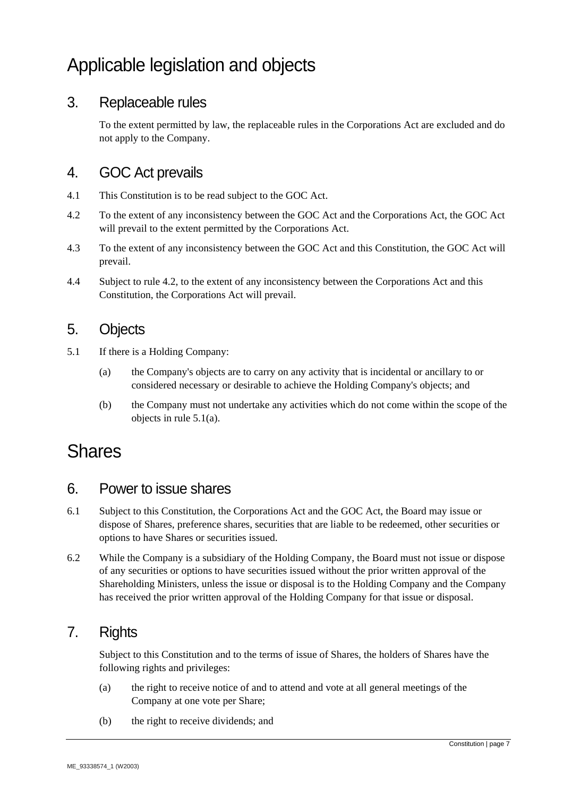# Applicable legislation and objects

#### 3. Replaceable rules

To the extent permitted by law, the replaceable rules in the Corporations Act are excluded and do not apply to the Company.

#### 4. GOC Act prevails

- 4.1 This Constitution is to be read subject to the GOC Act.
- 4.2 To the extent of any inconsistency between the GOC Act and the Corporations Act, the GOC Act will prevail to the extent permitted by the Corporations Act.
- 4.3 To the extent of any inconsistency between the GOC Act and this Constitution, the GOC Act will prevail.
- 4.4 Subject to rule 4.2, to the extent of any inconsistency between the Corporations Act and this Constitution, the Corporations Act will prevail.

#### 5. Objects

- 5.1 If there is a Holding Company:
	- (a) the Company's objects are to carry on any activity that is incidental or ancillary to or considered necessary or desirable to achieve the Holding Company's objects; and
	- (b) the Company must not undertake any activities which do not come within the scope of the objects in rule 5.1(a).

### Shares

#### 6. Power to issue shares

- 6.1 Subject to this Constitution, the Corporations Act and the GOC Act, the Board may issue or dispose of Shares, preference shares, securities that are liable to be redeemed, other securities or options to have Shares or securities issued.
- 6.2 While the Company is a subsidiary of the Holding Company, the Board must not issue or dispose of any securities or options to have securities issued without the prior written approval of the Shareholding Ministers, unless the issue or disposal is to the Holding Company and the Company has received the prior written approval of the Holding Company for that issue or disposal.

#### 7. Rights

Subject to this Constitution and to the terms of issue of Shares, the holders of Shares have the following rights and privileges:

- (a) the right to receive notice of and to attend and vote at all general meetings of the Company at one vote per Share;
- (b) the right to receive dividends; and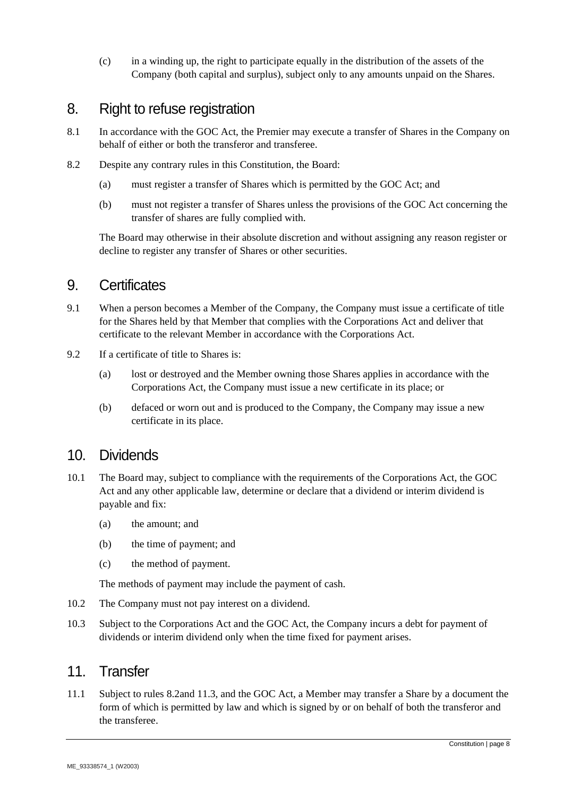(c) in a winding up, the right to participate equally in the distribution of the assets of the Company (both capital and surplus), subject only to any amounts unpaid on the Shares.

#### 8. Right to refuse registration

- 8.1 In accordance with the GOC Act, the Premier may execute a transfer of Shares in the Company on behalf of either or both the transferor and transferee.
- 8.2 Despite any contrary rules in this Constitution, the Board:
	- (a) must register a transfer of Shares which is permitted by the GOC Act; and
	- (b) must not register a transfer of Shares unless the provisions of the GOC Act concerning the transfer of shares are fully complied with.

The Board may otherwise in their absolute discretion and without assigning any reason register or decline to register any transfer of Shares or other securities.

#### 9. Certificates

- 9.1 When a person becomes a Member of the Company, the Company must issue a certificate of title for the Shares held by that Member that complies with the Corporations Act and deliver that certificate to the relevant Member in accordance with the Corporations Act.
- 9.2 If a certificate of title to Shares is:
	- (a) lost or destroyed and the Member owning those Shares applies in accordance with the Corporations Act, the Company must issue a new certificate in its place; or
	- (b) defaced or worn out and is produced to the Company, the Company may issue a new certificate in its place.

#### 10. Dividends

- 10.1 The Board may, subject to compliance with the requirements of the Corporations Act, the GOC Act and any other applicable law, determine or declare that a dividend or interim dividend is payable and fix:
	- (a) the amount; and
	- (b) the time of payment; and
	- (c) the method of payment.

The methods of payment may include the payment of cash.

- 10.2 The Company must not pay interest on a dividend.
- 10.3 Subject to the Corporations Act and the GOC Act, the Company incurs a debt for payment of dividends or interim dividend only when the time fixed for payment arises.

#### 11 Transfer

11.1 Subject to rules 8.2and 11.3, and the GOC Act, a Member may transfer a Share by a document the form of which is permitted by law and which is signed by or on behalf of both the transferor and the transferee.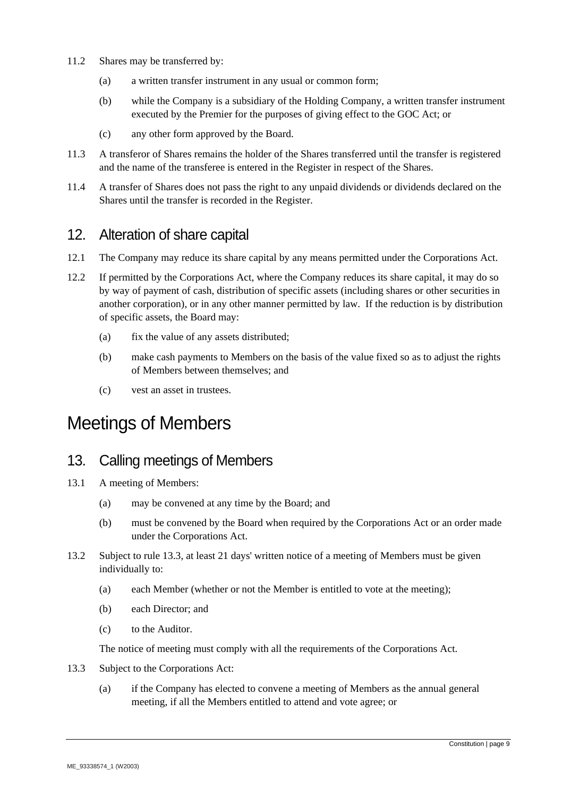- 11.2 Shares may be transferred by:
	- (a) a written transfer instrument in any usual or common form;
	- (b) while the Company is a subsidiary of the Holding Company, a written transfer instrument executed by the Premier for the purposes of giving effect to the GOC Act; or
	- (c) any other form approved by the Board.
- 11.3 A transferor of Shares remains the holder of the Shares transferred until the transfer is registered and the name of the transferee is entered in the Register in respect of the Shares.
- 11.4 A transfer of Shares does not pass the right to any unpaid dividends or dividends declared on the Shares until the transfer is recorded in the Register.

#### 12. Alteration of share capital

- 12.1 The Company may reduce its share capital by any means permitted under the Corporations Act.
- 12.2 If permitted by the Corporations Act, where the Company reduces its share capital, it may do so by way of payment of cash, distribution of specific assets (including shares or other securities in another corporation), or in any other manner permitted by law. If the reduction is by distribution of specific assets, the Board may:
	- (a) fix the value of any assets distributed;
	- (b) make cash payments to Members on the basis of the value fixed so as to adjust the rights of Members between themselves; and
	- (c) vest an asset in trustees.

# Meetings of Members

#### 13. Calling meetings of Members

- 13.1 A meeting of Members:
	- (a) may be convened at any time by the Board; and
	- (b) must be convened by the Board when required by the Corporations Act or an order made under the Corporations Act.
- 13.2 Subject to rule 13.3, at least 21 days' written notice of a meeting of Members must be given individually to:
	- (a) each Member (whether or not the Member is entitled to vote at the meeting);
	- (b) each Director; and
	- (c) to the Auditor.

The notice of meeting must comply with all the requirements of the Corporations Act.

- 13.3 Subject to the Corporations Act:
	- (a) if the Company has elected to convene a meeting of Members as the annual general meeting, if all the Members entitled to attend and vote agree; or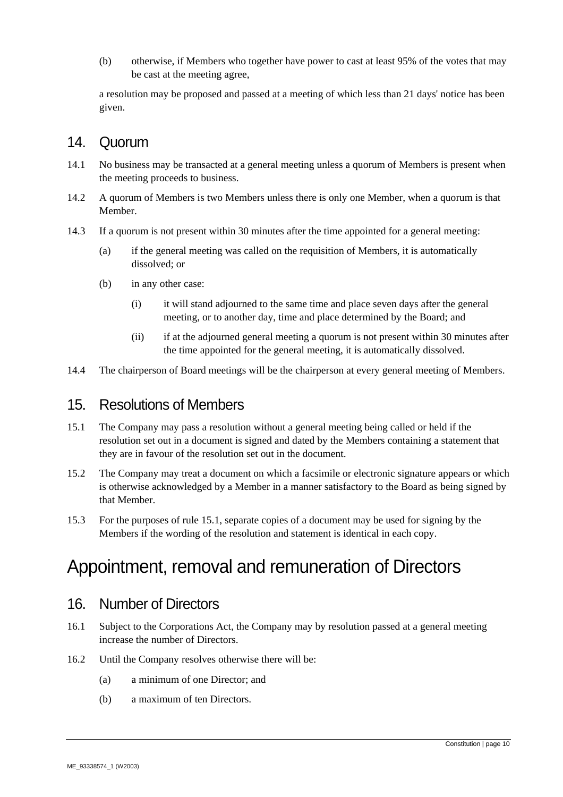(b) otherwise, if Members who together have power to cast at least 95% of the votes that may be cast at the meeting agree,

a resolution may be proposed and passed at a meeting of which less than 21 days' notice has been given.

#### 14. Quorum

- 14.1 No business may be transacted at a general meeting unless a quorum of Members is present when the meeting proceeds to business.
- 14.2 A quorum of Members is two Members unless there is only one Member, when a quorum is that Member.
- 14.3 If a quorum is not present within 30 minutes after the time appointed for a general meeting:
	- (a) if the general meeting was called on the requisition of Members, it is automatically dissolved; or
	- (b) in any other case:
		- (i) it will stand adjourned to the same time and place seven days after the general meeting, or to another day, time and place determined by the Board; and
		- (ii) if at the adjourned general meeting a quorum is not present within 30 minutes after the time appointed for the general meeting, it is automatically dissolved.
- 14.4 The chairperson of Board meetings will be the chairperson at every general meeting of Members.

#### 15. Resolutions of Members

- 15.1 The Company may pass a resolution without a general meeting being called or held if the resolution set out in a document is signed and dated by the Members containing a statement that they are in favour of the resolution set out in the document.
- 15.2 The Company may treat a document on which a facsimile or electronic signature appears or which is otherwise acknowledged by a Member in a manner satisfactory to the Board as being signed by that Member.
- 15.3 For the purposes of rule 15.1, separate copies of a document may be used for signing by the Members if the wording of the resolution and statement is identical in each copy.

# Appointment, removal and remuneration of Directors

#### 16. Number of Directors

- 16.1 Subject to the Corporations Act, the Company may by resolution passed at a general meeting increase the number of Directors.
- 16.2 Until the Company resolves otherwise there will be:
	- (a) a minimum of one Director; and
	- (b) a maximum of ten Directors.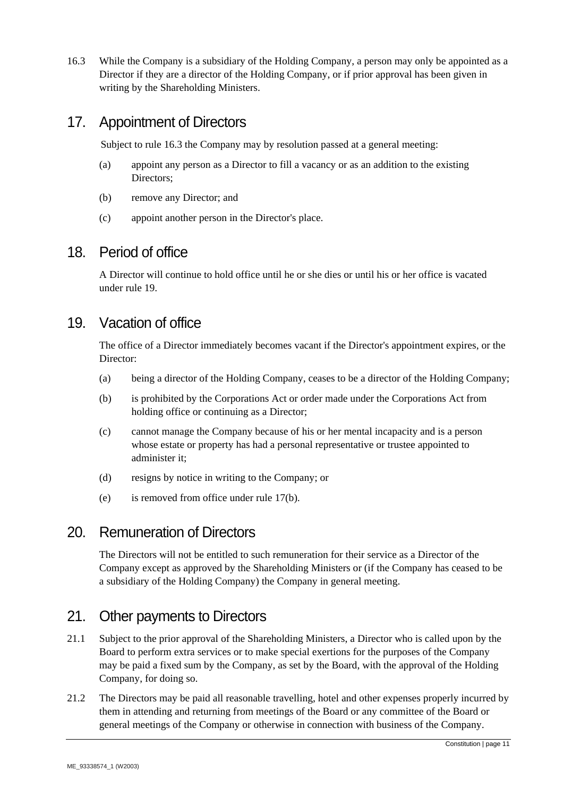16.3 While the Company is a subsidiary of the Holding Company, a person may only be appointed as a Director if they are a director of the Holding Company, or if prior approval has been given in writing by the Shareholding Ministers.

#### 17. Appointment of Directors

Subject to rule 16.3 the Company may by resolution passed at a general meeting:

- (a) appoint any person as a Director to fill a vacancy or as an addition to the existing Directors;
- (b) remove any Director; and
- (c) appoint another person in the Director's place.

#### 18. Period of office

A Director will continue to hold office until he or she dies or until his or her office is vacated under rule 19.

#### 19. Vacation of office

The office of a Director immediately becomes vacant if the Director's appointment expires, or the Director:

- (a) being a director of the Holding Company, ceases to be a director of the Holding Company;
- (b) is prohibited by the Corporations Act or order made under the Corporations Act from holding office or continuing as a Director;
- (c) cannot manage the Company because of his or her mental incapacity and is a person whose estate or property has had a personal representative or trustee appointed to administer it;
- (d) resigns by notice in writing to the Company; or
- (e) is removed from office under rule 17(b).

#### 20. Remuneration of Directors

The Directors will not be entitled to such remuneration for their service as a Director of the Company except as approved by the Shareholding Ministers or (if the Company has ceased to be a subsidiary of the Holding Company) the Company in general meeting.

#### 21. Other payments to Directors

- 21.1 Subject to the prior approval of the Shareholding Ministers, a Director who is called upon by the Board to perform extra services or to make special exertions for the purposes of the Company may be paid a fixed sum by the Company, as set by the Board, with the approval of the Holding Company, for doing so.
- 21.2 The Directors may be paid all reasonable travelling, hotel and other expenses properly incurred by them in attending and returning from meetings of the Board or any committee of the Board or general meetings of the Company or otherwise in connection with business of the Company.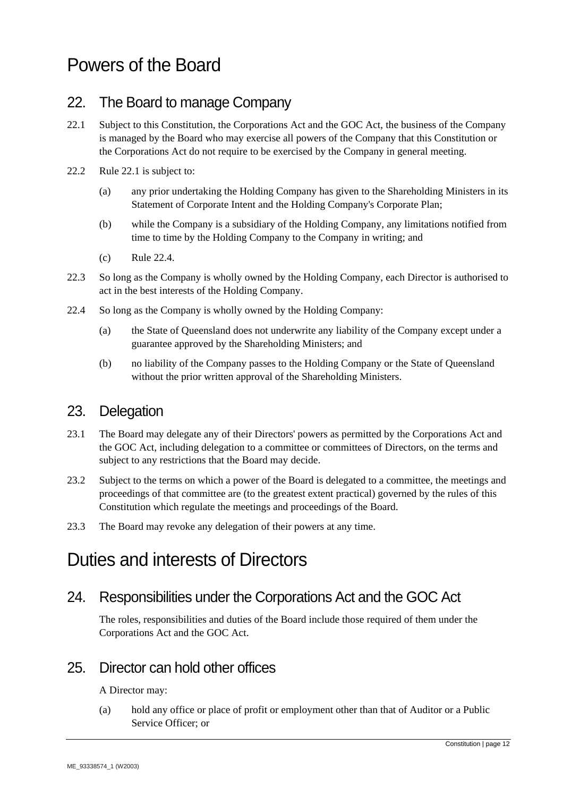# Powers of the Board

#### 22. The Board to manage Company

- 22.1 Subject to this Constitution, the Corporations Act and the GOC Act, the business of the Company is managed by the Board who may exercise all powers of the Company that this Constitution or the Corporations Act do not require to be exercised by the Company in general meeting.
- 22.2 Rule 22.1 is subject to:
	- (a) any prior undertaking the Holding Company has given to the Shareholding Ministers in its Statement of Corporate Intent and the Holding Company's Corporate Plan;
	- (b) while the Company is a subsidiary of the Holding Company, any limitations notified from time to time by the Holding Company to the Company in writing; and
	- (c) Rule 22.4.
- 22.3 So long as the Company is wholly owned by the Holding Company, each Director is authorised to act in the best interests of the Holding Company.
- 22.4 So long as the Company is wholly owned by the Holding Company:
	- (a) the State of Queensland does not underwrite any liability of the Company except under a guarantee approved by the Shareholding Ministers; and
	- (b) no liability of the Company passes to the Holding Company or the State of Queensland without the prior written approval of the Shareholding Ministers.

#### 23. Delegation

- 23.1 The Board may delegate any of their Directors' powers as permitted by the Corporations Act and the GOC Act, including delegation to a committee or committees of Directors, on the terms and subject to any restrictions that the Board may decide.
- 23.2 Subject to the terms on which a power of the Board is delegated to a committee, the meetings and proceedings of that committee are (to the greatest extent practical) governed by the rules of this Constitution which regulate the meetings and proceedings of the Board.
- 23.3 The Board may revoke any delegation of their powers at any time.

# Duties and interests of Directors

#### 24. Responsibilities under the Corporations Act and the GOC Act

The roles, responsibilities and duties of the Board include those required of them under the Corporations Act and the GOC Act.

#### 25. Director can hold other offices

A Director may:

(a) hold any office or place of profit or employment other than that of Auditor or a Public Service Officer; or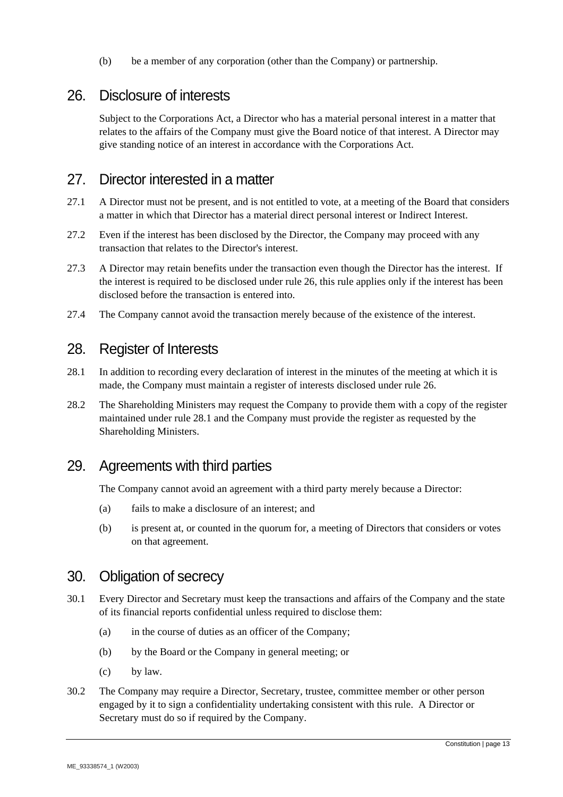(b) be a member of any corporation (other than the Company) or partnership.

#### 26. Disclosure of interests

Subject to the Corporations Act, a Director who has a material personal interest in a matter that relates to the affairs of the Company must give the Board notice of that interest. A Director may give standing notice of an interest in accordance with the Corporations Act.

#### 27. Director interested in a matter

- 27.1 A Director must not be present, and is not entitled to vote, at a meeting of the Board that considers a matter in which that Director has a material direct personal interest or Indirect Interest.
- 27.2 Even if the interest has been disclosed by the Director, the Company may proceed with any transaction that relates to the Director's interest.
- 27.3 A Director may retain benefits under the transaction even though the Director has the interest. If the interest is required to be disclosed under rule 26, this rule applies only if the interest has been disclosed before the transaction is entered into.
- 27.4 The Company cannot avoid the transaction merely because of the existence of the interest.

#### 28. Register of Interests

- 28.1 In addition to recording every declaration of interest in the minutes of the meeting at which it is made, the Company must maintain a register of interests disclosed under rule 26.
- 28.2 The Shareholding Ministers may request the Company to provide them with a copy of the register maintained under rule 28.1 and the Company must provide the register as requested by the Shareholding Ministers.

#### 29. Agreements with third parties

The Company cannot avoid an agreement with a third party merely because a Director:

- (a) fails to make a disclosure of an interest; and
- (b) is present at, or counted in the quorum for, a meeting of Directors that considers or votes on that agreement.

#### 30. Obligation of secrecy

- 30.1 Every Director and Secretary must keep the transactions and affairs of the Company and the state of its financial reports confidential unless required to disclose them:
	- (a) in the course of duties as an officer of the Company;
	- (b) by the Board or the Company in general meeting; or
	- (c) by law.
- 30.2 The Company may require a Director, Secretary, trustee, committee member or other person engaged by it to sign a confidentiality undertaking consistent with this rule. A Director or Secretary must do so if required by the Company.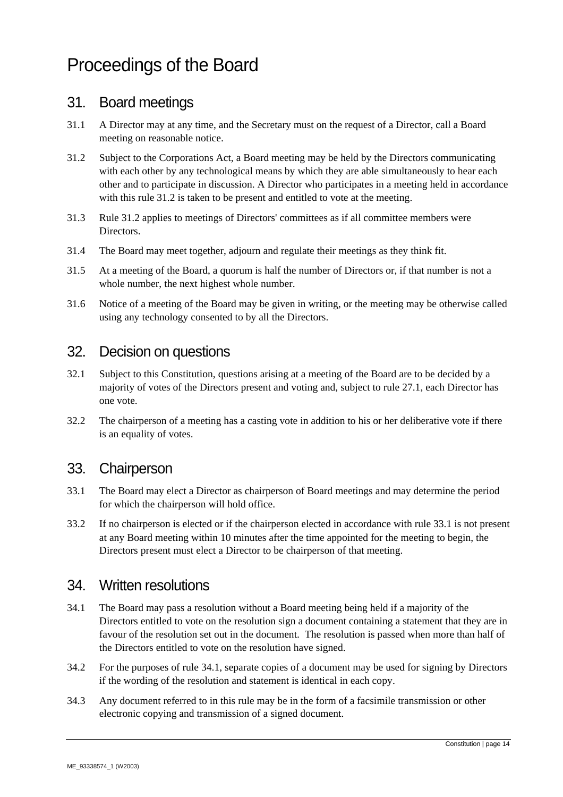# Proceedings of the Board

#### 31. Board meetings

- 31.1 A Director may at any time, and the Secretary must on the request of a Director, call a Board meeting on reasonable notice.
- 31.2 Subject to the Corporations Act, a Board meeting may be held by the Directors communicating with each other by any technological means by which they are able simultaneously to hear each other and to participate in discussion. A Director who participates in a meeting held in accordance with this rule 31.2 is taken to be present and entitled to vote at the meeting.
- 31.3 Rule 31.2 applies to meetings of Directors' committees as if all committee members were Directors.
- 31.4 The Board may meet together, adjourn and regulate their meetings as they think fit.
- 31.5 At a meeting of the Board, a quorum is half the number of Directors or, if that number is not a whole number, the next highest whole number.
- 31.6 Notice of a meeting of the Board may be given in writing, or the meeting may be otherwise called using any technology consented to by all the Directors.

#### 32. Decision on questions

- 32.1 Subject to this Constitution, questions arising at a meeting of the Board are to be decided by a majority of votes of the Directors present and voting and, subject to rule 27.1, each Director has one vote.
- 32.2 The chairperson of a meeting has a casting vote in addition to his or her deliberative vote if there is an equality of votes.

#### 33. Chairperson

- 33.1 The Board may elect a Director as chairperson of Board meetings and may determine the period for which the chairperson will hold office.
- 33.2 If no chairperson is elected or if the chairperson elected in accordance with rule 33.1 is not present at any Board meeting within 10 minutes after the time appointed for the meeting to begin, the Directors present must elect a Director to be chairperson of that meeting.

#### 34. Written resolutions

- 34.1 The Board may pass a resolution without a Board meeting being held if a majority of the Directors entitled to vote on the resolution sign a document containing a statement that they are in favour of the resolution set out in the document. The resolution is passed when more than half of the Directors entitled to vote on the resolution have signed.
- 34.2 For the purposes of rule 34.1, separate copies of a document may be used for signing by Directors if the wording of the resolution and statement is identical in each copy.
- 34.3 Any document referred to in this rule may be in the form of a facsimile transmission or other electronic copying and transmission of a signed document.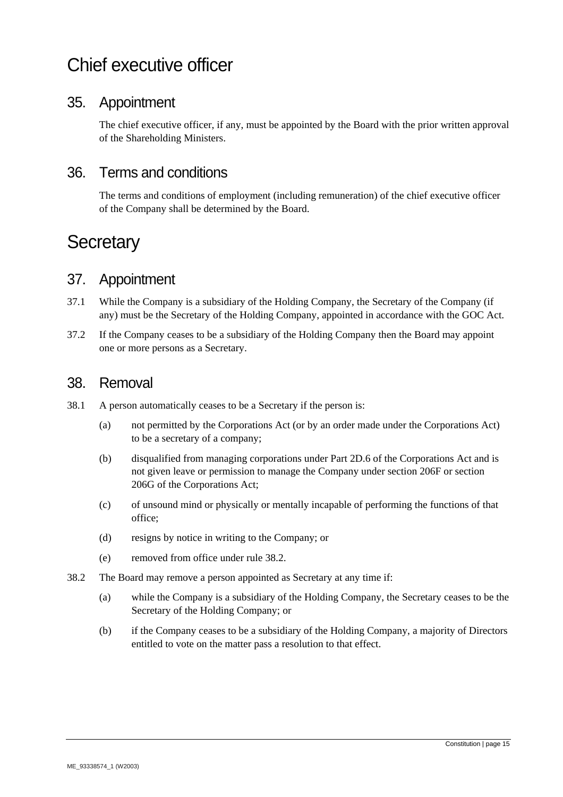# Chief executive officer

#### 35. Appointment

The chief executive officer, if any, must be appointed by the Board with the prior written approval of the Shareholding Ministers.

#### 36. Terms and conditions

The terms and conditions of employment (including remuneration) of the chief executive officer of the Company shall be determined by the Board.

# **Secretary**

#### 37. Appointment

- 37.1 While the Company is a subsidiary of the Holding Company, the Secretary of the Company (if any) must be the Secretary of the Holding Company, appointed in accordance with the GOC Act.
- 37.2 If the Company ceases to be a subsidiary of the Holding Company then the Board may appoint one or more persons as a Secretary.

#### 38. Removal

- 38.1 A person automatically ceases to be a Secretary if the person is:
	- (a) not permitted by the Corporations Act (or by an order made under the Corporations Act) to be a secretary of a company;
	- (b) disqualified from managing corporations under Part 2D.6 of the Corporations Act and is not given leave or permission to manage the Company under section 206F or section 206G of the Corporations Act;
	- (c) of unsound mind or physically or mentally incapable of performing the functions of that office;
	- (d) resigns by notice in writing to the Company; or
	- (e) removed from office under rule 38.2.
- 38.2 The Board may remove a person appointed as Secretary at any time if:
	- (a) while the Company is a subsidiary of the Holding Company, the Secretary ceases to be the Secretary of the Holding Company; or
	- (b) if the Company ceases to be a subsidiary of the Holding Company, a majority of Directors entitled to vote on the matter pass a resolution to that effect.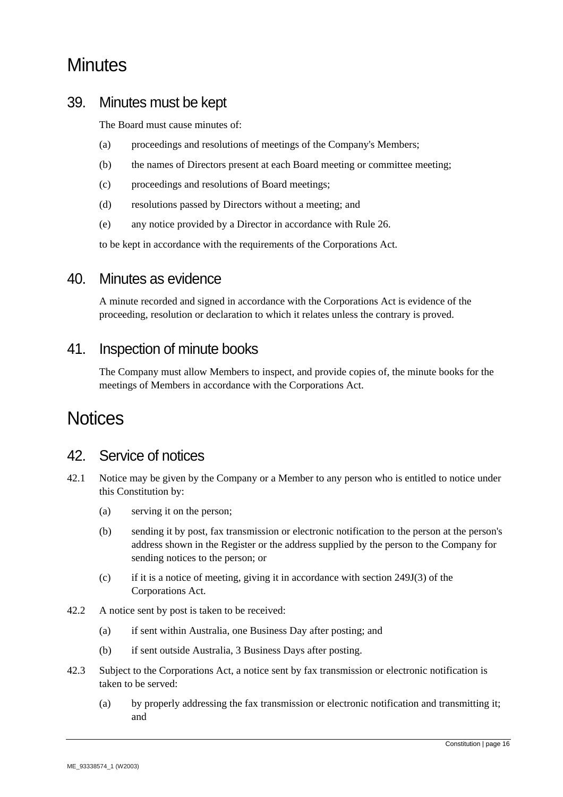# **Minutes**

#### 39. Minutes must be kept

The Board must cause minutes of:

- (a) proceedings and resolutions of meetings of the Company's Members;
- (b) the names of Directors present at each Board meeting or committee meeting;
- (c) proceedings and resolutions of Board meetings;
- (d) resolutions passed by Directors without a meeting; and
- (e) any notice provided by a Director in accordance with Rule 26.

to be kept in accordance with the requirements of the Corporations Act.

#### 40. Minutes as evidence

A minute recorded and signed in accordance with the Corporations Act is evidence of the proceeding, resolution or declaration to which it relates unless the contrary is proved.

#### 41. Inspection of minute books

The Company must allow Members to inspect, and provide copies of, the minute books for the meetings of Members in accordance with the Corporations Act.

# **Notices**

#### 42. Service of notices

- 42.1 Notice may be given by the Company or a Member to any person who is entitled to notice under this Constitution by:
	- (a) serving it on the person;
	- (b) sending it by post, fax transmission or electronic notification to the person at the person's address shown in the Register or the address supplied by the person to the Company for sending notices to the person; or
	- (c) if it is a notice of meeting, giving it in accordance with section 249J(3) of the Corporations Act.
- 42.2 A notice sent by post is taken to be received:
	- (a) if sent within Australia, one Business Day after posting; and
	- (b) if sent outside Australia, 3 Business Days after posting.
- 42.3 Subject to the Corporations Act, a notice sent by fax transmission or electronic notification is taken to be served:
	- (a) by properly addressing the fax transmission or electronic notification and transmitting it; and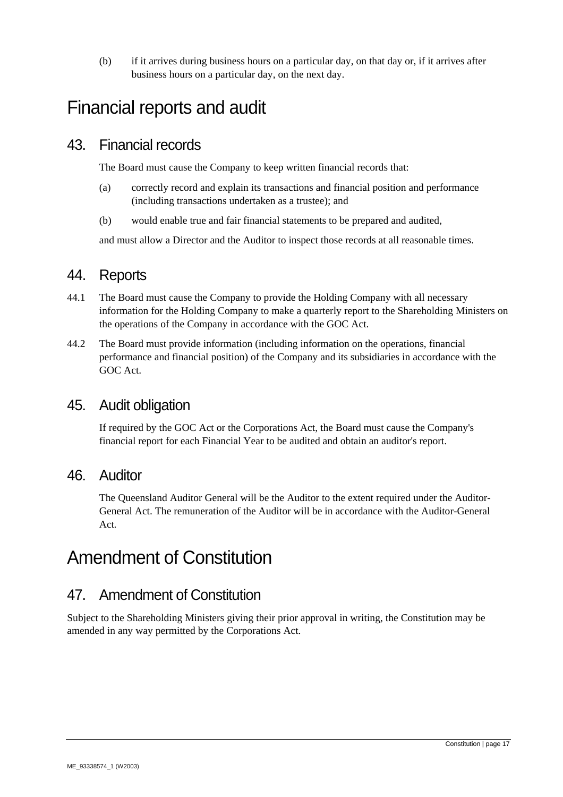(b) if it arrives during business hours on a particular day, on that day or, if it arrives after business hours on a particular day, on the next day.

# Financial reports and audit

#### 43. Financial records

The Board must cause the Company to keep written financial records that:

- (a) correctly record and explain its transactions and financial position and performance (including transactions undertaken as a trustee); and
- (b) would enable true and fair financial statements to be prepared and audited,

and must allow a Director and the Auditor to inspect those records at all reasonable times.

#### 44. Reports

- 44.1 The Board must cause the Company to provide the Holding Company with all necessary information for the Holding Company to make a quarterly report to the Shareholding Ministers on the operations of the Company in accordance with the GOC Act.
- 44.2 The Board must provide information (including information on the operations, financial performance and financial position) of the Company and its subsidiaries in accordance with the GOC Act.

#### 45. Audit obligation

If required by the GOC Act or the Corporations Act, the Board must cause the Company's financial report for each Financial Year to be audited and obtain an auditor's report.

#### 46. Auditor

The Queensland Auditor General will be the Auditor to the extent required under the Auditor-General Act. The remuneration of the Auditor will be in accordance with the Auditor-General Act*.*

# Amendment of Constitution

#### 47. Amendment of Constitution

Subject to the Shareholding Ministers giving their prior approval in writing, the Constitution may be amended in any way permitted by the Corporations Act.